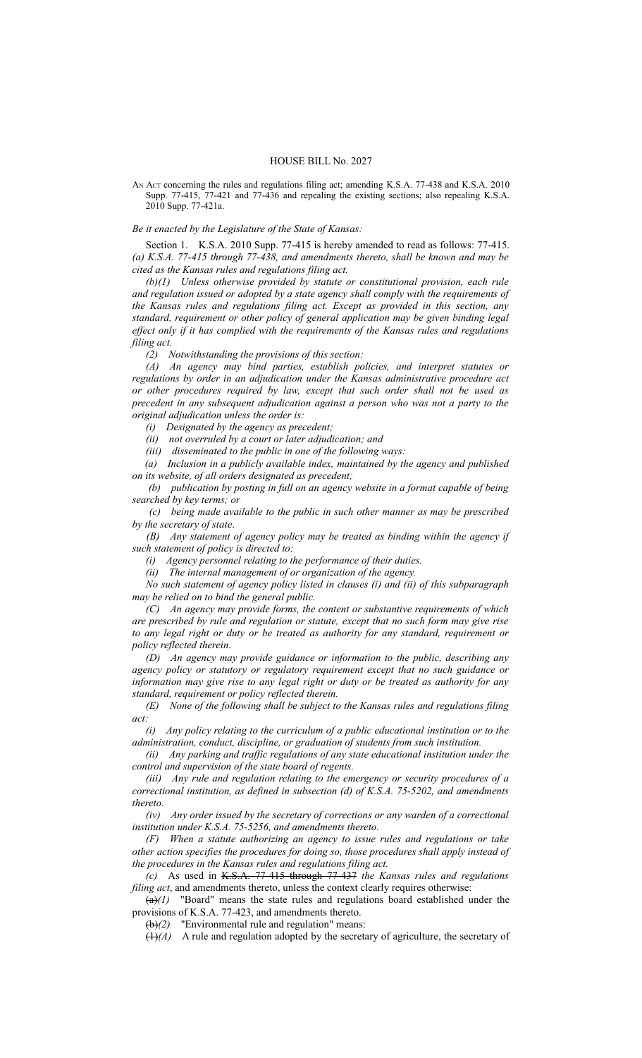## HOUSE BILL No. 2027

AN ACT concerning the rules and regulations filing act; amending K.S.A. 77-438 and K.S.A. 2010 Supp. 77-415, 77-421 and 77-436 and repealing the existing sections; also repealing K.S.A. 2010 Supp. 77-421a.

*Be it enacted by the Legislature of the State of Kansas:*

Section 1. K.S.A. 2010 Supp. 77-415 is hereby amended to read as follows: 77-415. *(a) K.S.A. 77-415 through 77-438, and amendments thereto, shall be known and may be cited as the Kansas rules and regulations filing act.*

*(b)(1) Unless otherwise provided by statute or constitutional provision, each rule and regulation issued or adopted by a state agency shall comply with the requirements of the Kansas rules and regulations filing act. Except as provided in this section, any standard, requirement or other policy of general application may be given binding legal effect only if it has complied with the requirements of the Kansas rules and regulations filing act.* 

*(2) Notwithstanding the provisions of this section:*

*(A) An agency may bind parties, establish policies, and interpret statutes or regulations by order in an adjudication under the Kansas administrative procedure act or other procedures required by law, except that such order shall not be used as precedent in any subsequent adjudication against a person who was not a party to the original adjudication unless the order is:*

*(i) Designated by the agency as precedent;*

*(ii) not overruled by a court or later adjudication; and*

*(iii) disseminated to the public in one of the following ways:*

 *(a) Inclusion in a publicly available index, maintained by the agency and published on its website, of all orders designated as precedent;*

 *(b) publication by posting in full on an agency website in a format capable of being searched by key terms; or*

 *(c) being made available to the public in such other manner as may be prescribed by the secretary of state*.

 *(B) Any statement of agency policy may be treated as binding within the agency if such statement of policy is directed to:*

*(i) Agency personnel relating to the performance of their duties.*

*(ii) The internal management of or organization of the agency.* 

*No such statement of agency policy listed in clauses (i) and (ii) of this subparagraph may be relied on to bind the general public.*

*(C) An agency may provide forms, the content or substantive requirements of which are prescribed by rule and regulation or statute, except that no such form may give rise to any legal right or duty or be treated as authority for any standard, requirement or policy reflected therein.*

*(D) An agency may provide guidance or information to the public, describing any agency policy or statutory or regulatory requirement except that no such guidance or information may give rise to any legal right or duty or be treated as authority for any standard, requirement or policy reflected therein.*

*(E) None of the following shall be subject to the Kansas rules and regulations filing act:*

*(i) Any policy relating to the curriculum of a public educational institution or to the administration, conduct, discipline, or graduation of students from such institution.*

*(ii) Any parking and traffic regulations of any state educational institution under the control and supervision of the state board of regents.*

*(iii) Any rule and regulation relating to the emergency or security procedures of a correctional institution, as defined in subsection (d) of K.S.A. 75-5202, and amendments thereto.*

*(iv) Any order issued by the secretary of corrections or any warden of a correctional institution under K.S.A. 75-5256, and amendments thereto.* 

*(F) When a statute authorizing an agency to issue rules and regulations or take other action specifies the procedures for doing so, those procedures shall apply instead of the procedures in the Kansas rules and regulations filing act.*

*(c)* As used in K.S.A. 77-415 through 77-437 *the Kansas rules and regulations filing act*, and amendments thereto, unless the context clearly requires otherwise:

 $\overline{(a)}(1)$  "Board" means the state rules and regulations board established under the provisions of K.S.A. 77-423, and amendments thereto.

(b)*(2)* "Environmental rule and regulation" means:

 $(1)(A)$  A rule and regulation adopted by the secretary of agriculture, the secretary of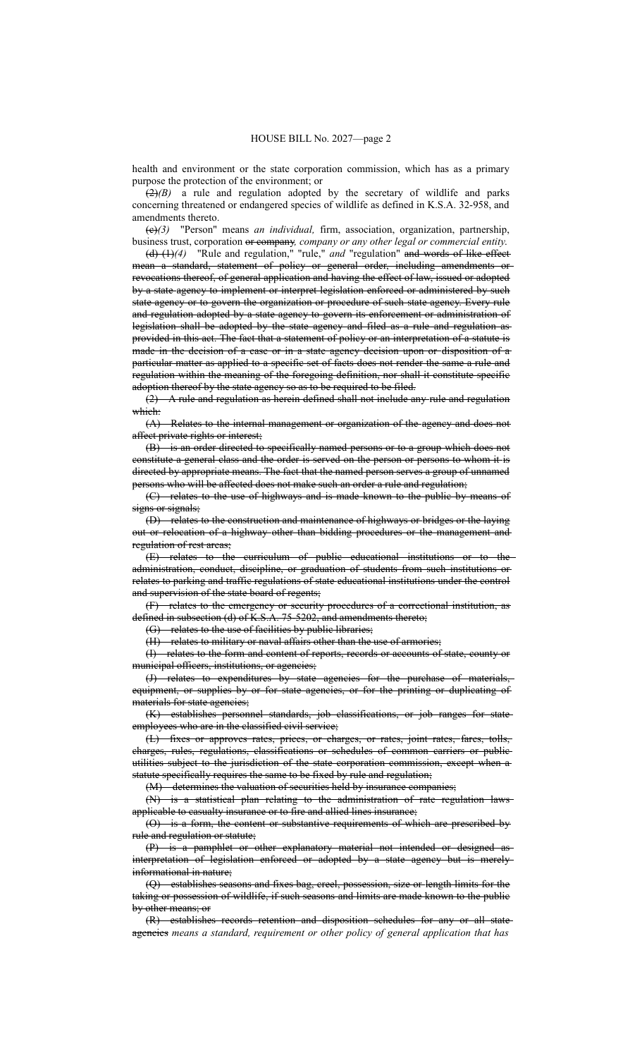health and environment or the state corporation commission, which has as a primary purpose the protection of the environment; or

 $(2)(B)$  a rule and regulation adopted by the secretary of wildlife and parks concerning threatened or endangered species of wildlife as defined in K.S.A. 32-958, and amendments thereto.

(c)*(3)* "Person" means *an individual,* firm, association, organization, partnership, business trust, corporation or company*, company or any other legal or commercial entity*.

(d) (1)*(4)* "Rule and regulation," "rule," *and* "regulation" and words of like effect mean a standard, statement of policy or general order, including amendments or revocations thereof, of general application and having the effect of law, issued or adopted by a state agency to implement or interpret legislation enforced or administered by such state agency or to govern the organization or procedure of such state agency. Every rule and regulation adopted by a state agency to govern its enforcement or administration of legislation shall be adopted by the state agency and filed as a rule and regulation as provided in this act. The fact that a statement of policy or an interpretation of a statute is made in the decision of a case or in a state agency decision upon or disposition of a particular matter as applied to a specific set of facts does not render the same a rule and regulation within the meaning of the foregoing definition, nor shall it constitute specific adoption thereof by the state agency so as to be required to be filed.

(2) A rule and regulation as herein defined shall not include any rule and regulation which:

(A) Relates to the internal management or organization of the agency and does not affect private rights or interest;

(B) is an order directed to specifically named persons or to a group which does not constitute a general class and the order is served on the person or persons to whom it is directed by appropriate means. The fact that the named person serves a group of unnamed persons who will be affected does not make such an order a rule and regulation;

(C) relates to the use of highways and is made known to the public by means of signs or signals:

(D) relates to the construction and maintenance of highways or bridges or the laying out or relocation of a highway other than bidding procedures or the management and regulation of rest areas;

(E) relates to the curriculum of public educational institutions or to the administration, conduct, discipline, or graduation of students from such institutions or relates to parking and traffic regulations of state educational institutions under the control and supervision of the state board of regents;

(F) relates to the emergency or security procedures of a correctional institution, as defined in subsection (d) of K.S.A. 75-5202, and amendments thereto;

(G) relates to the use of facilities by public libraries;

(H) relates to military or naval affairs other than the use of armories;

(I) relates to the form and content of reports, records or accounts of state, county or municipal officers, institutions, or agencies;

(J) relates to expenditures by state agencies for the purchase of materials, equipment, or supplies by or for state agencies, or for the printing or duplicating of materials for state agencies;

(K) establishes personnel standards, job classifications, or job ranges for state employees who are in the classified civil service;

(L) fixes or approves rates, prices, or charges, or rates, joint rates, fares, tolls, charges, rules, regulations, classifications or schedules of common carriers or public utilities subject to the jurisdiction of the state corporation commission, except when a statute specifically requires the same to be fixed by rule and regulation;

(M) determines the valuation of securities held by insurance companies;

(N) is a statistical plan relating to the administration of rate regulation laws applicable to casualty insurance or to fire and allied lines insurance;

(O) is a form, the content or substantive requirements of which are prescribed by rule and regulation or statute;

(P) is a pamphlet or other explanatory material not intended or designed as interpretation of legislation enforced or adopted by a state agency but is merely informational in nature;

(Q) establishes seasons and fixes bag, creel, possession, size or length limits for the taking or possession of wildlife, if such seasons and limits are made known to the public by other means; or

(R) establishes records retention and disposition schedules for any or all state agencies *means a standard, requirement or other policy of general application that has*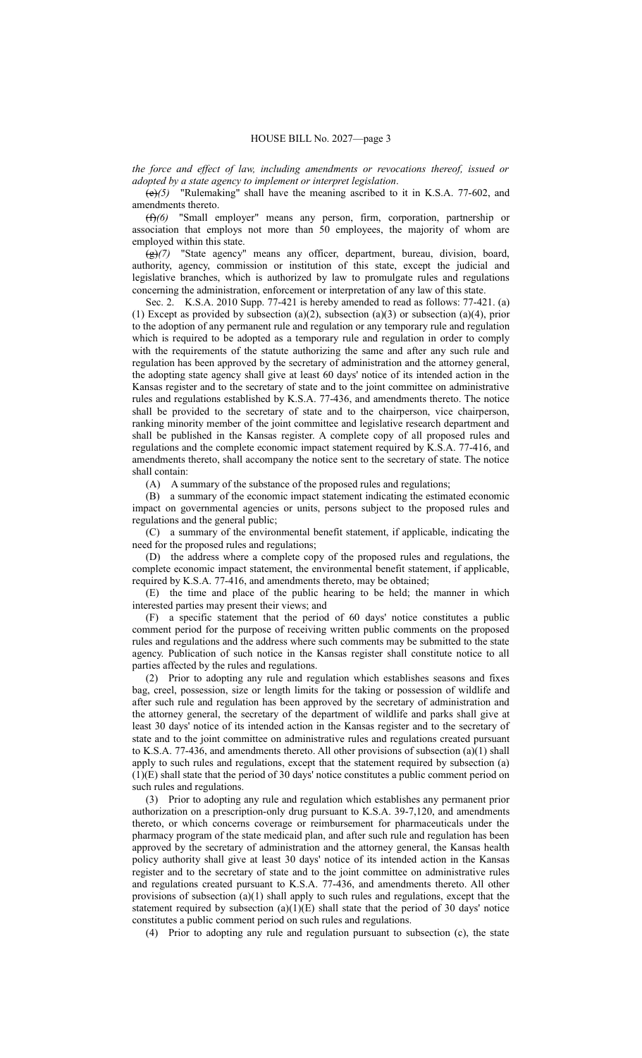*the force and effect of law, including amendments or revocations thereof, issued or adopted by a state agency to implement or interpret legislation*.

(e)*(5)* "Rulemaking" shall have the meaning ascribed to it in K.S.A. 77-602, and amendments thereto.

(f)*(6)* "Small employer" means any person, firm, corporation, partnership or association that employs not more than 50 employees, the majority of whom are employed within this state.

(g)*(7)* "State agency" means any officer, department, bureau, division, board, authority, agency, commission or institution of this state, except the judicial and legislative branches, which is authorized by law to promulgate rules and regulations concerning the administration, enforcement or interpretation of any law of this state.

Sec. 2. K.S.A. 2010 Supp. 77-421 is hereby amended to read as follows: 77-421. (a) (1) Except as provided by subsection (a)(2), subsection (a)(3) or subsection (a)(4), prior to the adoption of any permanent rule and regulation or any temporary rule and regulation which is required to be adopted as a temporary rule and regulation in order to comply with the requirements of the statute authorizing the same and after any such rule and regulation has been approved by the secretary of administration and the attorney general, the adopting state agency shall give at least 60 days' notice of its intended action in the Kansas register and to the secretary of state and to the joint committee on administrative rules and regulations established by K.S.A. 77-436, and amendments thereto. The notice shall be provided to the secretary of state and to the chairperson, vice chairperson, ranking minority member of the joint committee and legislative research department and shall be published in the Kansas register. A complete copy of all proposed rules and regulations and the complete economic impact statement required by K.S.A. 77-416, and amendments thereto, shall accompany the notice sent to the secretary of state. The notice shall contain:

(A) A summary of the substance of the proposed rules and regulations;

(B) a summary of the economic impact statement indicating the estimated economic impact on governmental agencies or units, persons subject to the proposed rules and regulations and the general public;

(C) a summary of the environmental benefit statement, if applicable, indicating the need for the proposed rules and regulations;

(D) the address where a complete copy of the proposed rules and regulations, the complete economic impact statement, the environmental benefit statement, if applicable, required by K.S.A. 77-416, and amendments thereto, may be obtained;

(E) the time and place of the public hearing to be held; the manner in which interested parties may present their views; and

(F) a specific statement that the period of 60 days' notice constitutes a public comment period for the purpose of receiving written public comments on the proposed rules and regulations and the address where such comments may be submitted to the state agency. Publication of such notice in the Kansas register shall constitute notice to all parties affected by the rules and regulations.

(2) Prior to adopting any rule and regulation which establishes seasons and fixes bag, creel, possession, size or length limits for the taking or possession of wildlife and after such rule and regulation has been approved by the secretary of administration and the attorney general, the secretary of the department of wildlife and parks shall give at least 30 days' notice of its intended action in the Kansas register and to the secretary of state and to the joint committee on administrative rules and regulations created pursuant to K.S.A. 77-436, and amendments thereto. All other provisions of subsection (a)(1) shall apply to such rules and regulations, except that the statement required by subsection (a) (1)(E) shall state that the period of 30 days' notice constitutes a public comment period on such rules and regulations.

(3) Prior to adopting any rule and regulation which establishes any permanent prior authorization on a prescription-only drug pursuant to K.S.A. 39-7,120, and amendments thereto, or which concerns coverage or reimbursement for pharmaceuticals under the pharmacy program of the state medicaid plan, and after such rule and regulation has been approved by the secretary of administration and the attorney general, the Kansas health policy authority shall give at least 30 days' notice of its intended action in the Kansas register and to the secretary of state and to the joint committee on administrative rules and regulations created pursuant to K.S.A. 77-436, and amendments thereto. All other provisions of subsection (a)(1) shall apply to such rules and regulations, except that the statement required by subsection  $(a)(1)(E)$  shall state that the period of 30 days' notice constitutes a public comment period on such rules and regulations.

(4) Prior to adopting any rule and regulation pursuant to subsection (c), the state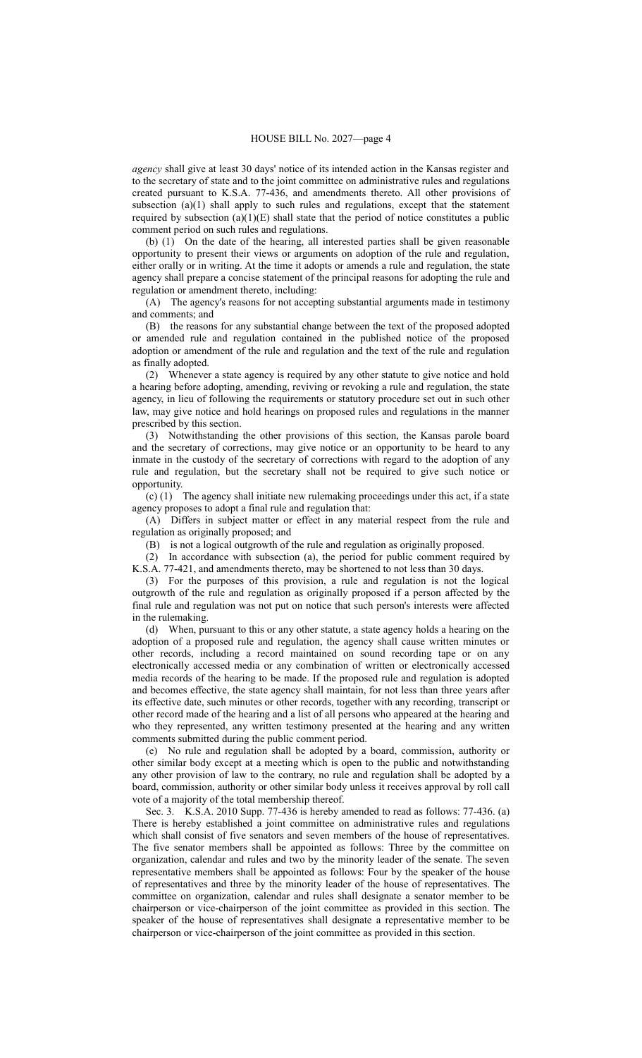*agency* shall give at least 30 days' notice of its intended action in the Kansas register and to the secretary of state and to the joint committee on administrative rules and regulations created pursuant to K.S.A. 77-436, and amendments thereto. All other provisions of subsection  $(a)(1)$  shall apply to such rules and regulations, except that the statement required by subsection  $(a)(1)(E)$  shall state that the period of notice constitutes a public comment period on such rules and regulations.

(b) (1) On the date of the hearing, all interested parties shall be given reasonable opportunity to present their views or arguments on adoption of the rule and regulation, either orally or in writing. At the time it adopts or amends a rule and regulation, the state agency shall prepare a concise statement of the principal reasons for adopting the rule and regulation or amendment thereto, including:

(A) The agency's reasons for not accepting substantial arguments made in testimony and comments; and

(B) the reasons for any substantial change between the text of the proposed adopted or amended rule and regulation contained in the published notice of the proposed adoption or amendment of the rule and regulation and the text of the rule and regulation as finally adopted.

(2) Whenever a state agency is required by any other statute to give notice and hold a hearing before adopting, amending, reviving or revoking a rule and regulation, the state agency, in lieu of following the requirements or statutory procedure set out in such other law, may give notice and hold hearings on proposed rules and regulations in the manner prescribed by this section.

(3) Notwithstanding the other provisions of this section, the Kansas parole board and the secretary of corrections, may give notice or an opportunity to be heard to any inmate in the custody of the secretary of corrections with regard to the adoption of any rule and regulation, but the secretary shall not be required to give such notice or opportunity.

(c) (1) The agency shall initiate new rulemaking proceedings under this act, if a state agency proposes to adopt a final rule and regulation that:

(A) Differs in subject matter or effect in any material respect from the rule and regulation as originally proposed; and

(B) is not a logical outgrowth of the rule and regulation as originally proposed.

(2) In accordance with subsection (a), the period for public comment required by K.S.A. 77-421, and amendments thereto, may be shortened to not less than 30 days.

(3) For the purposes of this provision, a rule and regulation is not the logical outgrowth of the rule and regulation as originally proposed if a person affected by the final rule and regulation was not put on notice that such person's interests were affected in the rulemaking.

(d) When, pursuant to this or any other statute, a state agency holds a hearing on the adoption of a proposed rule and regulation, the agency shall cause written minutes or other records, including a record maintained on sound recording tape or on any electronically accessed media or any combination of written or electronically accessed media records of the hearing to be made. If the proposed rule and regulation is adopted and becomes effective, the state agency shall maintain, for not less than three years after its effective date, such minutes or other records, together with any recording, transcript or other record made of the hearing and a list of all persons who appeared at the hearing and who they represented, any written testimony presented at the hearing and any written comments submitted during the public comment period.

(e) No rule and regulation shall be adopted by a board, commission, authority or other similar body except at a meeting which is open to the public and notwithstanding any other provision of law to the contrary, no rule and regulation shall be adopted by a board, commission, authority or other similar body unless it receives approval by roll call vote of a majority of the total membership thereof.

Sec. 3. K.S.A. 2010 Supp. 77-436 is hereby amended to read as follows: 77-436. (a) There is hereby established a joint committee on administrative rules and regulations which shall consist of five senators and seven members of the house of representatives. The five senator members shall be appointed as follows: Three by the committee on organization, calendar and rules and two by the minority leader of the senate. The seven representative members shall be appointed as follows: Four by the speaker of the house of representatives and three by the minority leader of the house of representatives. The committee on organization, calendar and rules shall designate a senator member to be chairperson or vice-chairperson of the joint committee as provided in this section. The speaker of the house of representatives shall designate a representative member to be chairperson or vice-chairperson of the joint committee as provided in this section.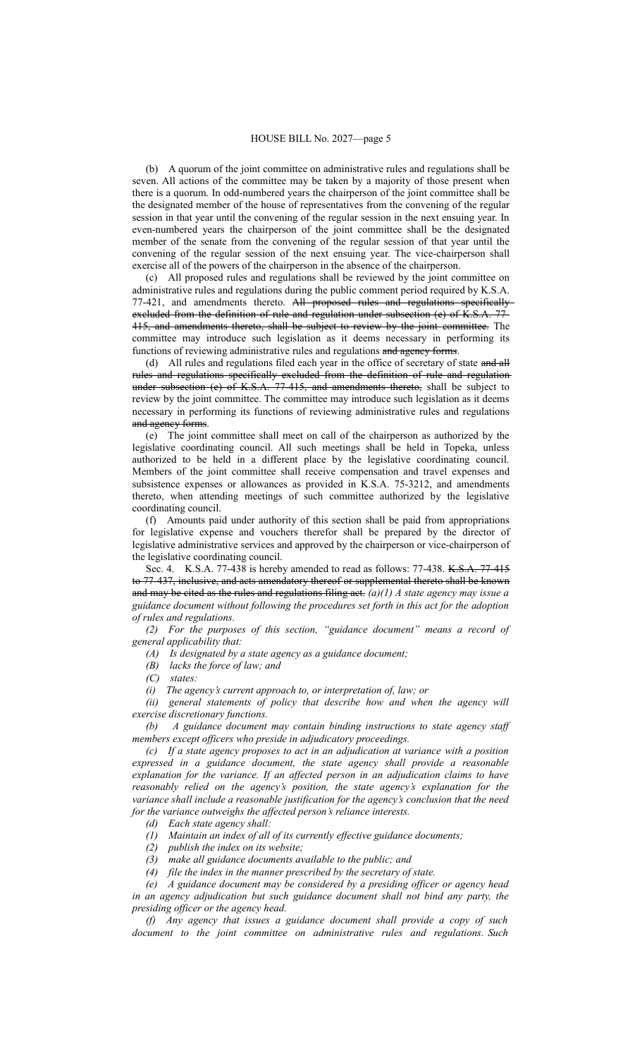(b) A quorum of the joint committee on administrative rules and regulations shall be seven. All actions of the committee may be taken by a majority of those present when there is a quorum. In odd-numbered years the chairperson of the joint committee shall be the designated member of the house of representatives from the convening of the regular session in that year until the convening of the regular session in the next ensuing year. In even-numbered years the chairperson of the joint committee shall be the designated member of the senate from the convening of the regular session of that year until the convening of the regular session of the next ensuing year. The vice-chairperson shall exercise all of the powers of the chairperson in the absence of the chairperson.

(c) All proposed rules and regulations shall be reviewed by the joint committee on administrative rules and regulations during the public comment period required by K.S.A. 77-421, and amendments thereto. All proposed rules and regulations specifically excluded from the definition of rule and regulation under subsection (e) of K.S.A. 77- 415, and amendments thereto, shall be subject to review by the joint committee. The committee may introduce such legislation as it deems necessary in performing its functions of reviewing administrative rules and regulations and agency forms.

(d) All rules and regulations filed each year in the office of secretary of state and all rules and regulations specifically excluded from the definition of rule and regulation under subsection  $(e)$  of K.S.A. 77-415, and amendments thereto, shall be subject to review by the joint committee. The committee may introduce such legislation as it deems necessary in performing its functions of reviewing administrative rules and regulations and agency forms.

(e) The joint committee shall meet on call of the chairperson as authorized by the legislative coordinating council. All such meetings shall be held in Topeka, unless authorized to be held in a different place by the legislative coordinating council. Members of the joint committee shall receive compensation and travel expenses and subsistence expenses or allowances as provided in K.S.A. 75-3212, and amendments thereto, when attending meetings of such committee authorized by the legislative coordinating council.

(f) Amounts paid under authority of this section shall be paid from appropriations for legislative expense and vouchers therefor shall be prepared by the director of legislative administrative services and approved by the chairperson or vice-chairperson of the legislative coordinating council.

Sec. 4. K.S.A. 77-438 is hereby amended to read as follows: 77-438. K.S.A. 77-415 to 77-437, inclusive, and acts amendatory thereof or supplemental thereto shall be known and may be cited as the rules and regulations filing act. *(a)(1) A state agency may issue a guidance document without following the procedures set forth in this act for the adoption of rules and regulations.* 

*(2) For the purposes of this section, "guidance document" means a record of general applicability that:*

*(A) Is designated by a state agency as a guidance document;*

*(B) lacks the force of law; and*

*(C) states:*

*(i) The agency's current approach to, or interpretation of, law; or*

*(ii) general statements of policy that describe how and when the agency will exercise discretionary functions.*

*(b) A guidance document may contain binding instructions to state agency staff members except officers who preside in adjudicatory proceedings.*

*(c) If a state agency proposes to act in an adjudication at variance with a position expressed in a guidance document, the state agency shall provide a reasonable explanation for the variance. If an affected person in an adjudication claims to have reasonably relied on the agency's position, the state agency's explanation for the variance shall include a reasonable justification for the agency's conclusion that the need for the variance outweighs the affected person's reliance interests.* 

*(d) Each state agency shall:*

*(1) Maintain an index of all of its currently effective guidance documents;*

*(2) publish the index on its website;*

*(3) make all guidance documents available to the public; and*

*(4) file the index in the manner prescribed by the secretary of state.* 

*(e) A guidance document may be considered by a presiding officer or agency head in an agency adjudication but such guidance document shall not bind any party, the presiding officer or the agency head.*

*(f) Any agency that issues a guidance document shall provide a copy of such document to the joint committee on administrative rules and regulations. Such*